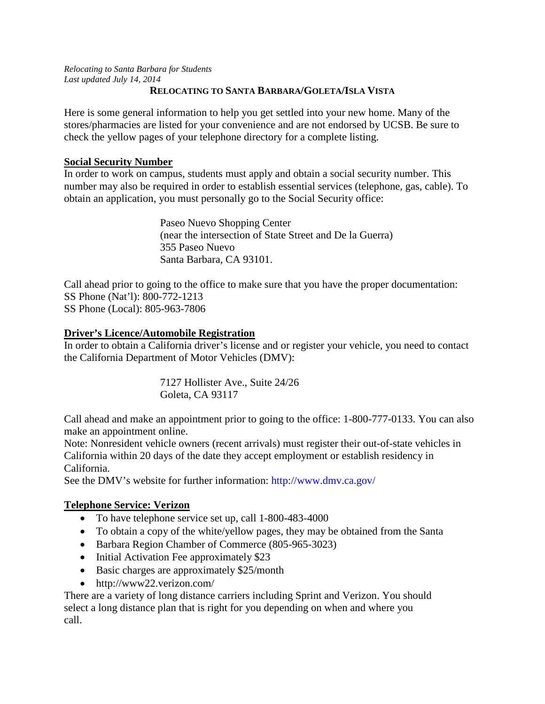*Relocating to Santa Barbara for Students Last updated July 14, 2014*

### **RELOCATING TO SANTA BARBARA/GOLETA/ISLA VISTA**

Here is some general information to help you get settled into your new home. Many of the stores/pharmacies are listed for your convenience and are not endorsed by UCSB. Be sure to check the yellow pages of your telephone directory for a complete listing.

## **Social Security Number**

In order to work on campus, students must apply and obtain a social security number. This number may also be required in order to establish essential services (telephone, gas, cable). To obtain an application, you must personally go to the Social Security office:

> Paseo Nuevo Shopping Center (near the intersection of State Street and De la Guerra) 355 Paseo Nuevo Santa Barbara, CA 93101.

Call ahead prior to going to the office to make sure that you have the proper documentation: SS Phone (Nat'l): 800-772-1213 SS Phone (Local): 805-963-7806

# **Driver's Licence/Automobile Registration**

In order to obtain a California driver's license and or register your vehicle, you need to contact the California Department of Motor Vehicles (DMV):

> 7127 Hollister Ave., Suite 24/26 Goleta, CA 93117

Call ahead and make an appointment prior to going to the office: 1-800-777-0133. You can also make an appointment online.

Note: Nonresident vehicle owners (recent arrivals) must register their out-of-state vehicles in California within 20 days of the date they accept employment or establish residency in California.

See the DMV's website for further information: http://www.dmv.ca.gov/

# **Telephone Service: Verizon**

- To have telephone service set up, call 1-800-483-4000
- To obtain a copy of the white/yellow pages, they may be obtained from the Santa
- Barbara Region Chamber of Commerce (805-965-3023)
- Initial Activation Fee approximately \$23
- Basic charges are approximately \$25/month
- http://www22.verizon.com/

There are a variety of long distance carriers including Sprint and Verizon. You should select a long distance plan that is right for you depending on when and where you call.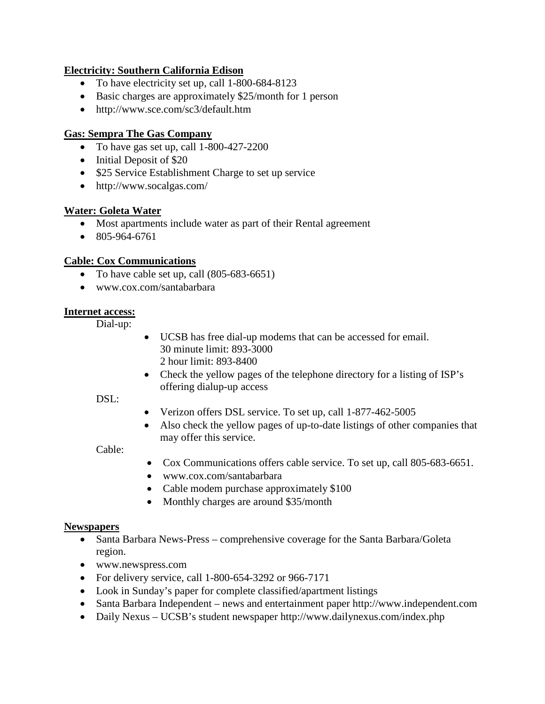## **Electricity: Southern California Edison**

- To have electricity set up, call 1-800-684-8123
- Basic charges are approximately \$25/month for 1 person
- http://www.sce.com/sc3/default.htm

## **Gas: Sempra The Gas Company**

- To have gas set up, call 1-800-427-2200
- Initial Deposit of \$20
- \$25 Service Establishment Charge to set up service
- http://www.socalgas.com/

## **Water: Goleta Water**

- Most apartments include water as part of their Rental agreement
- $\bullet$  805-964-6761

# **Cable: Cox Communications**

- To have cable set up, call (805-683-6651)
- www.cox.com/santabarbara

## **Internet access:**

Dial-up:

- UCSB has free dial-up modems that can be accessed for email. 30 minute limit: 893-3000 2 hour limit: 893-8400
- Check the yellow pages of the telephone directory for a listing of ISP's offering dialup-up access

### DSL:

- Verizon offers DSL service. To set up, call 1-877-462-5005
- Also check the yellow pages of up-to-date listings of other companies that may offer this service.

## Cable:

- Cox Communications offers cable service. To set up, call 805-683-6651.
- www.cox.com/santabarbara
- Cable modem purchase approximately \$100
- Monthly charges are around \$35/month

## **Newspapers**

- Santa Barbara News-Press comprehensive coverage for the Santa Barbara/Goleta region.
- www.newspress.com
- For delivery service, call 1-800-654-3292 or 966-7171
- Look in Sunday's paper for complete classified/apartment listings
- Santa Barbara Independent news and entertainment paper http://www.independent.com
- Daily Nexus UCSB's student newspaper http://www.dailynexus.com/index.php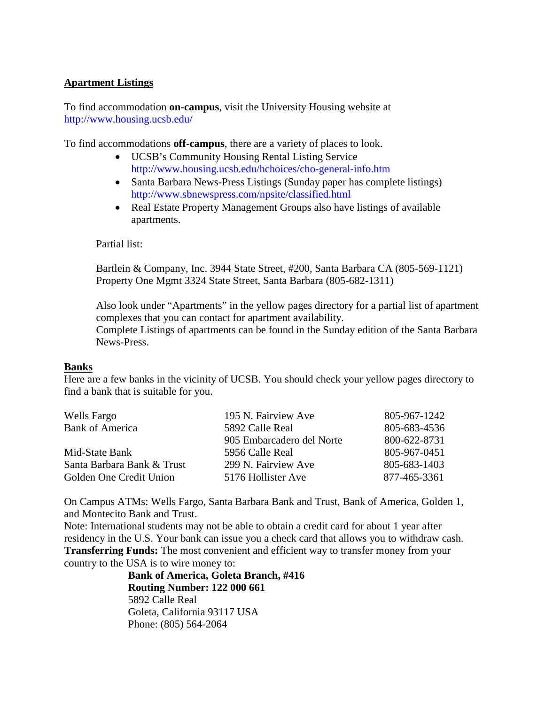### **Apartment Listings**

To find accommodation **on-campus**, visit the University Housing website at http://www.housing.ucsb.edu/

To find accommodations **off-campus**, there are a variety of places to look.

- UCSB's Community Housing Rental Listing Service http://www.housing.ucsb.edu/hchoices/cho-general-info.htm
- Santa Barbara News-Press Listings (Sunday paper has complete listings) http://www.sbnewspress.com/npsite/classified.html
- Real Estate Property Management Groups also have listings of available apartments.

Partial list:

Bartlein & Company, Inc. 3944 State Street, #200, Santa Barbara CA (805-569-1121) Property One Mgmt 3324 State Street, Santa Barbara (805-682-1311)

Also look under "Apartments" in the yellow pages directory for a partial list of apartment complexes that you can contact for apartment availability. Complete Listings of apartments can be found in the Sunday edition of the Santa Barbara

News-Press.

### **Banks**

Here are a few banks in the vicinity of UCSB. You should check your yellow pages directory to find a bank that is suitable for you.

| Wells Fargo                | 195 N. Fairview Ave       | 805-967-1242 |
|----------------------------|---------------------------|--------------|
| <b>Bank of America</b>     | 5892 Calle Real           | 805-683-4536 |
|                            | 905 Embarcadero del Norte | 800-622-8731 |
| Mid-State Bank             | 5956 Calle Real           | 805-967-0451 |
| Santa Barbara Bank & Trust | 299 N. Fairview Ave       | 805-683-1403 |
| Golden One Credit Union    | 5176 Hollister Ave        | 877-465-3361 |

On Campus ATMs: Wells Fargo, Santa Barbara Bank and Trust, Bank of America, Golden 1, and Montecito Bank and Trust.

Note: International students may not be able to obtain a credit card for about 1 year after residency in the U.S. Your bank can issue you a check card that allows you to withdraw cash. **Transferring Funds:** The most convenient and efficient way to transfer money from your country to the USA is to wire money to:

**Bank of America, Goleta Branch, #416 Routing Number: 122 000 661** 5892 Calle Real Goleta, California 93117 USA Phone: (805) 564-2064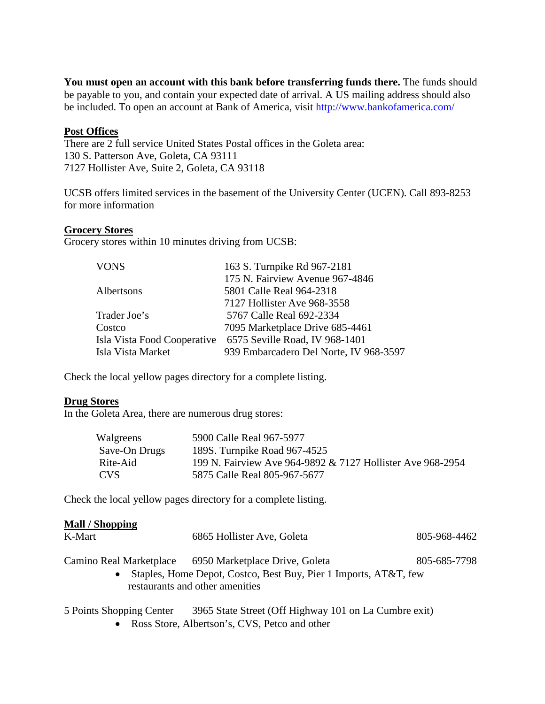**You must open an account with this bank before transferring funds there.** The funds should be payable to you, and contain your expected date of arrival. A US mailing address should also be included. To open an account at Bank of America, visit http://www.bankofamerica.com/

#### **Post Offices**

There are 2 full service United States Postal offices in the Goleta area: 130 S. Patterson Ave, Goleta, CA 93111 7127 Hollister Ave, Suite 2, Goleta, CA 93118

UCSB offers limited services in the basement of the University Center (UCEN). Call 893-8253 for more information

#### **Grocery Stores**

Grocery stores within 10 minutes driving from UCSB:

| <b>VONS</b>       | 163 S. Turnpike Rd 967-2181                                |
|-------------------|------------------------------------------------------------|
|                   | 175 N. Fairview Avenue 967-4846                            |
| Albertsons        | 5801 Calle Real 964-2318                                   |
|                   | 7127 Hollister Ave 968-3558                                |
| Trader Joe's      | 5767 Calle Real 692-2334                                   |
| Costco            | 7095 Marketplace Drive 685-4461                            |
|                   | Isla Vista Food Cooperative 6575 Seville Road, IV 968-1401 |
| Isla Vista Market | 939 Embarcadero Del Norte, IV 968-3597                     |
|                   |                                                            |

Check the local yellow pages directory for a complete listing.

#### **Drug Stores**

In the Goleta Area, there are numerous drug stores:

| Walgreens     | 5900 Calle Real 967-5977                                   |
|---------------|------------------------------------------------------------|
| Save-On Drugs | 189S. Turnpike Road 967-4525                               |
| Rite-Aid      | 199 N. Fairview Ave 964-9892 & 7127 Hollister Ave 968-2954 |
| <b>CVS</b>    | 5875 Calle Real 805-967-5677                               |

Check the local yellow pages directory for a complete listing.

#### **Mall / Shopping**

| K-Mart                  | 6865 Hollister Ave, Goleta                                                                                                              | 805-968-4462 |
|-------------------------|-----------------------------------------------------------------------------------------------------------------------------------------|--------------|
| Camino Real Marketplace | 6950 Marketplace Drive, Goleta<br>• Staples, Home Depot, Costco, Best Buy, Pier 1 Imports, AT&T, few<br>restaurants and other amenities | 805-685-7798 |
|                         |                                                                                                                                         |              |

- 5 Points Shopping Center 3965 State Street (Off Highway 101 on La Cumbre exit)
	- Ross Store, Albertson's, CVS, Petco and other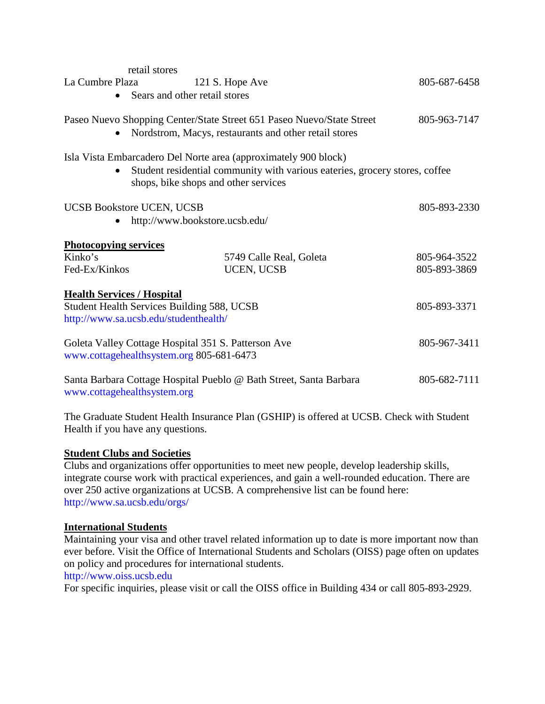| retail stores<br>La Cumbre Plaza                                                                                                                                                                    | 121 S. Hope Ave<br>Sears and other retail stores | 805-687-6458 |  |  |
|-----------------------------------------------------------------------------------------------------------------------------------------------------------------------------------------------------|--------------------------------------------------|--------------|--|--|
| Paseo Nuevo Shopping Center/State Street 651 Paseo Nuevo/State Street<br>Nordstrom, Macys, restaurants and other retail stores                                                                      | 805-963-7147                                     |              |  |  |
| Isla Vista Embarcadero Del Norte area (approximately 900 block)<br>Student residential community with various eateries, grocery stores, coffee<br>$\bullet$<br>shops, bike shops and other services |                                                  |              |  |  |
| <b>UCSB Bookstore UCEN, UCSB</b>                                                                                                                                                                    | http://www.bookstore.ucsb.edu/                   | 805-893-2330 |  |  |
| <b>Photocopying services</b>                                                                                                                                                                        |                                                  |              |  |  |
| Kinko's                                                                                                                                                                                             | 5749 Calle Real, Goleta                          | 805-964-3522 |  |  |
| Fed-Ex/Kinkos                                                                                                                                                                                       | <b>UCEN, UCSB</b>                                | 805-893-3869 |  |  |
| <b>Health Services / Hospital</b><br>Student Health Services Building 588, UCSB<br>http://www.sa.ucsb.edu/studenthealth/                                                                            |                                                  | 805-893-3371 |  |  |
| Goleta Valley Cottage Hospital 351 S. Patterson Ave<br>www.cottagehealthsystem.org 805-681-6473                                                                                                     |                                                  | 805-967-3411 |  |  |
| Santa Barbara Cottage Hospital Pueblo @ Bath Street, Santa Barbara<br>www.cottagehealthsystem.org                                                                                                   | 805-682-7111                                     |              |  |  |

The Graduate Student Health Insurance Plan (GSHIP) is offered at UCSB. Check with Student Health if you have any questions.

# **Student Clubs and Societies**

Clubs and organizations offer opportunities to meet new people, develop leadership skills, integrate course work with practical experiences, and gain a well-rounded education. There are over 250 active organizations at UCSB. A comprehensive list can be found here: http://www.sa.ucsb.edu/orgs/

# **International Students**

Maintaining your visa and other travel related information up to date is more important now than ever before. Visit the Office of International Students and Scholars (OISS) page often on updates on policy and procedures for international students.

http://www.oiss.ucsb.edu

For specific inquiries, please visit or call the OISS office in Building 434 or call 805-893-2929.